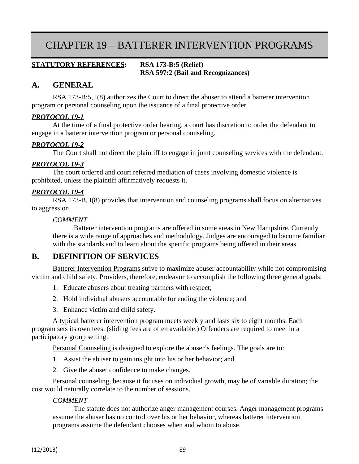# CHAPTER 19 – BATTERER INTERVENTION PROGRAMS

#### **STATUTORY REFERENCES: RSA 173-B:5 (Relief) RSA 597:2 (Bail and Recognizances)**

# **A. GENERAL**

RSA 173-B:5, I(8) authorizes the Court to direct the abuser to attend a batterer intervention program or personal counseling upon the issuance of a final protective order.

#### *PROTOCOL 19-1*

At the time of a final protective order hearing, a court has discretion to order the defendant to engage in a batterer intervention program or personal counseling.

#### *PROTOCOL 19-2*

The Court shall not direct the plaintiff to engage in joint counseling services with the defendant.

#### *PROTOCOL 19-3*

The court ordered and court referred mediation of cases involving domestic violence is prohibited, unless the plaintiff affirmatively requests it.

#### *PROTOCOL 19-4*

RSA 173-B, I(8) provides that intervention and counseling programs shall focus on alternatives to aggression.

#### *COMMENT*

Batterer intervention programs are offered in some areas in New Hampshire. Currently there is a wide range of approaches and methodology. Judges are encouraged to become familiar with the standards and to learn about the specific programs being offered in their areas.

## **B. DEFINITION OF SERVICES**

Batterer Intervention Programs strive to maximize abuser accountability while not compromising victim and child safety. Providers, therefore, endeavor to accomplish the following three general goals:

- 1. Educate abusers about treating partners with respect;
- 2. Hold individual abusers accountable for ending the violence; and
- 3. Enhance victim and child safety.

A typical batterer intervention program meets weekly and lasts six to eight months. Each program sets its own fees. (sliding fees are often available.) Offenders are required to meet in a participatory group setting.

Personal Counseling is designed to explore the abuser's feelings. The goals are to:

- 1. Assist the abuser to gain insight into his or her behavior; and
- 2. Give the abuser confidence to make changes.

Personal counseling, because it focuses on individual growth, may be of variable duration; the cost would naturally correlate to the number of sessions.

#### *COMMENT*

The statute does not authorize anger management courses. Anger management programs assume the abuser has no control over his or her behavior, whereas batterer intervention programs assume the defendant chooses when and whom to abuse.